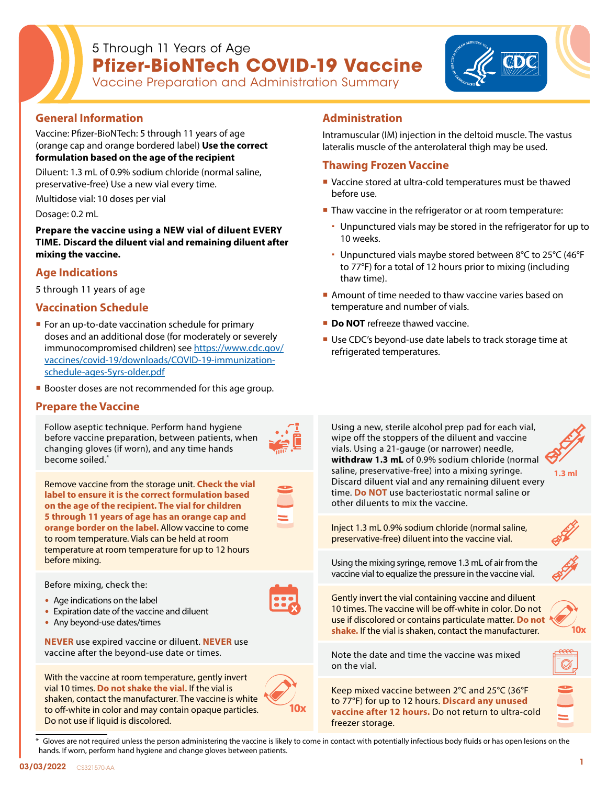## 5 Through 11 Years of Age **Pfizer-BioNTech COVID-19 Vaccine** Vaccine Preparation and Administration Summary



## **General Information**

Vaccine: Pfizer-BioNTech: 5 through 11 years of age (orange cap and orange bordered label) **Use the correct formulation based on the age of the recipient**

Diluent: 1.3 mL of 0.9% sodium chloride (normal saline, preservative-free) Use a new vial every time.

Multidose vial: 10 doses per vial

Dosage: 0.2 mL

**Prepare the vaccine using a NEW vial of diluent EVERY TIME. Discard the diluent vial and remaining diluent after mixing the vaccine.** 

## **Age Indications**

5 through 11 years of age

## **Vaccination Schedule**

- **For an up-to-date vaccination schedule for primary** doses and an additional dose (for moderately or severely immunocompromised children) see [https://www.cdc.gov/](https://www.cdc.gov/vaccines/covid-19/downloads/COVID-19-immunization-schedule-ages-5yrs-older.pdf) [vaccines/covid-19/downloads/COVID-19-immunization](https://www.cdc.gov/vaccines/covid-19/downloads/COVID-19-immunization-schedule-ages-5yrs-older.pdf)[schedule-ages-5yrs-older.pdf](https://www.cdc.gov/vaccines/covid-19/downloads/COVID-19-immunization-schedule-ages-5yrs-older.pdf)
- **Booster doses are not recommended for this age group.**

## **Prepare the Vaccine**

Follow aseptic technique. Perform hand hygiene before vaccine preparation, between patients, when changing gloves (if worn), and any time hands become soiled.\*



Remove vaccine from the storage unit. **Check the vial label to ensure it is the correct formulation based on the age of the recipient. The vial for children 5 through 11 years of age has an orange cap and orange border on the label.** Allow vaccine to come to room temperature. Vials can be held at room temperature at room temperature for up to 12 hours before mixing.

Before mixing, check the:

- Age indications on the label
- Expiration date of the vaccine and diluent
- Any beyond-use dates/times

**NEVER** use expired vaccine or diluent. **NEVER** use vaccine after the beyond-use date or times.

With the vaccine at room temperature, gently invert vial 10 times. **Do not shake the vial.** If the vial is shaken, contact the manufacturer. The vaccine is white to off-white in color and may contain opaque particles. Do not use if liquid is discolored.



# **Administration**

Intramuscular (IM) injection in the deltoid muscle. The vastus lateralis muscle of the anterolateral thigh may be used.

## **Thawing Frozen Vaccine**

- Vaccine stored at ultra-cold temperatures must be thawed before use.
- Thaw vaccine in the refrigerator or at room temperature:
	- Unpunctured vials may be stored in the refrigerator for up to 10 weeks.
	- Unpunctured vials maybe stored between 8°C to 25°C (46°F to 77°F) for a total of 12 hours prior to mixing (including thaw time).
- Amount of time needed to thaw vaccine varies based on temperature and number of vials.
- **Do NOT** refreeze thawed vaccine.
- Use CDC's beyond-use date labels to track storage time at refrigerated temperatures.



Gloves are not required unless the person administering the vaccine is likely to come in contact with potentially infectious body fluids or has open lesions on the hands. If worn, perform hand hygiene and change gloves between patients.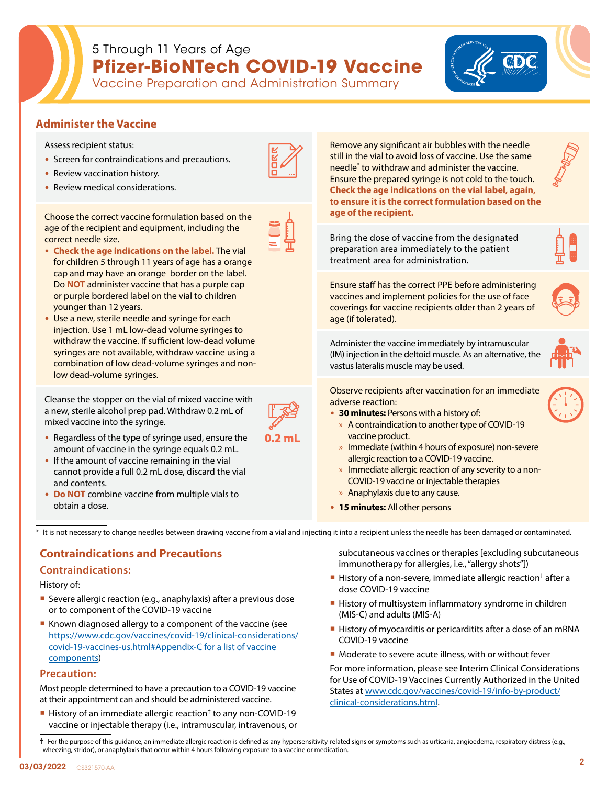# 5 Through 11 Years of Age **Pfizer-BioNTech COVID-19 Vaccine** Vaccine Preparation and Administration Summary

## **Administer the Vaccine**

Assess recipient status:

correct needle size.

- Screen for contraindications and precautions.
- Review vaccination history.
- Review medical considerations.



• **Check the age indications on the label.** The vial for children 5 through 11 years of age has a orange cap and may have an orange border on the label. Do **NOT** administer vaccine that has a purple cap or purple bordered label on the vial to children younger than 12 years.

Choose the correct vaccine formulation based on the age of the recipient and equipment, including the

• Use a new, sterile needle and syringe for each injection. Use 1 mL low-dead volume syringes to withdraw the vaccine. If sufficient low-dead volume syringes are not available, withdraw vaccine using a combination of low dead-volume syringes and nonlow dead-volume syringes.

Cleanse the stopper on the vial of mixed vaccine with a new, sterile alcohol prep pad. Withdraw 0.2 mL of mixed vaccine into the syringe.



- Regardless of the type of syringe used, ensure the amount of vaccine in the syringe equals 0.2 mL.
- If the amount of vaccine remaining in the vial cannot provide a full 0.2 mL dose, discard the vial and contents.
- **Do NOT** combine vaccine from multiple vials to obtain a dose.

Remove any significant air bubbles with the needle still in the vial to avoid loss of vaccine. Use the same needle\* to withdraw and administer the vaccine. Ensure the prepared syringe is not cold to the touch. **Check the age indications on the vial label, again, to ensure it is the correct formulation based on the age of the recipient.**

Bring the dose of vaccine from the designated preparation area immediately to the patient treatment area for administration.

Ensure staff has the correct PPE before administering vaccines and implement policies for the use of face coverings for vaccine recipients older than 2 years of age (if tolerated).

Administer the vaccine immediately by intramuscular (IM) injection in the deltoid muscle. As an alternative, the vastus lateralis muscle may be used.



Observe recipients after vaccination for an immediate adverse reaction:

- **30 minutes:** Persons with a history of:
	- » A contraindication to another type of COVID-19 vaccine product.
	- » Immediate (within 4 hours of exposure) non-severe allergic reaction to a COVID-19 vaccine.
	- » Immediate allergic reaction of any severity to a non-COVID-19 vaccine or injectable therapies
	- » Anaphylaxis due to any cause.
- **15 minutes:** All other persons

\* It is not necessary to change needles between drawing vaccine from a vial and injecting it into a recipient unless the needle has been damaged or contaminated.

## **Contraindications and Precautions**

## **Contraindications:**

History of:

- Severe allergic reaction (e.g., anaphylaxis) after a previous dose or to component of the COVID-19 vaccine
- Known diagnosed allergy to a component of the vaccine (see [https://www.cdc.gov/vaccines/covid-19/clinical-considerations/](https://www.cdc.gov/vaccines/covid-19/clinical-considerations/covid-19-vaccines-us.html#Appendix-C f) [covid-19-vaccines-us.html#Appendix-C for a list of vaccine](https://www.cdc.gov/vaccines/covid-19/clinical-considerations/covid-19-vaccines-us.html#Appendix-C f)  [components](https://www.cdc.gov/vaccines/covid-19/clinical-considerations/covid-19-vaccines-us.html#Appendix-C f))

## **Precaution:**

Most people determined to have a precaution to a COVID-19 vaccine at their appointment can and should be administered vaccine.

History of an immediate allergic reaction<sup>†</sup> to any non-COVID-19 vaccine or injectable therapy (i.e., intramuscular, intravenous, or subcutaneous vaccines or therapies [excluding subcutaneous immunotherapy for allergies, i.e., "allergy shots"])

- History of a non-severe, immediate allergic reaction<sup>†</sup> after a dose COVID-19 vaccine
- History of multisystem inflammatory syndrome in children (MIS-C) and adults (MIS-A)
- History of myocarditis or pericarditits after a dose of an mRNA COVID-19 vaccine
- **Moderate to severe acute illness, with or without fever**

For more information, please see Interim Clinical Considerations for Use of COVID-19 Vaccines Currently Authorized in the United States at [www.cdc.gov/vaccines/covid-19/info-by-product/](http://www.cdc.gov/vaccines/covid-19/info-by-product/clinical-considerations.html) [clinical-considerations.html.](http://www.cdc.gov/vaccines/covid-19/info-by-product/clinical-considerations.html)

† For the purpose of this guidance, an immediate allergic reaction is defined as any hypersensitivity-related signs or symptoms such as urticaria, angioedema, respiratory distress (e.g., wheezing, stridor), or anaphylaxis that occur within 4 hours following exposure to a vaccine or medication.